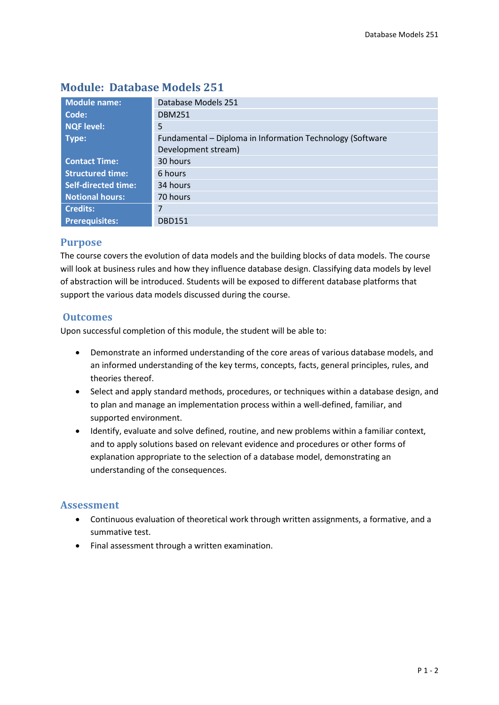| <b>Module name:</b>        | Database Models 251                                       |  |  |  |
|----------------------------|-----------------------------------------------------------|--|--|--|
| Code:                      | <b>DBM251</b>                                             |  |  |  |
| <b>NQF level:</b>          | 5                                                         |  |  |  |
| Type:                      | Fundamental - Diploma in Information Technology (Software |  |  |  |
|                            | Development stream)                                       |  |  |  |
| <b>Contact Time:</b>       | 30 hours                                                  |  |  |  |
| <b>Structured time:</b>    | 6 hours                                                   |  |  |  |
| <b>Self-directed time:</b> | 34 hours                                                  |  |  |  |
| <b>Notional hours:</b>     | 70 hours                                                  |  |  |  |
| <b>Credits:</b>            | 7                                                         |  |  |  |
| <b>Prerequisites:</b>      | <b>DBD151</b>                                             |  |  |  |

# **Module: Database Models 251**

### **Purpose**

The course covers the evolution of data models and the building blocks of data models. The course will look at business rules and how they influence database design. Classifying data models by level of abstraction will be introduced. Students will be exposed to different database platforms that support the various data models discussed during the course.

## **Outcomes**

Upon successful completion of this module, the student will be able to:

- Demonstrate an informed understanding of the core areas of various database models, and an informed understanding of the key terms, concepts, facts, general principles, rules, and theories thereof.
- Select and apply standard methods, procedures, or techniques within a database design, and to plan and manage an implementation process within a well-defined, familiar, and supported environment.
- Identify, evaluate and solve defined, routine, and new problems within a familiar context, and to apply solutions based on relevant evidence and procedures or other forms of explanation appropriate to the selection of a database model, demonstrating an understanding of the consequences.

## **Assessment**

- Continuous evaluation of theoretical work through written assignments, a formative, and a summative test.
- Final assessment through a written examination.